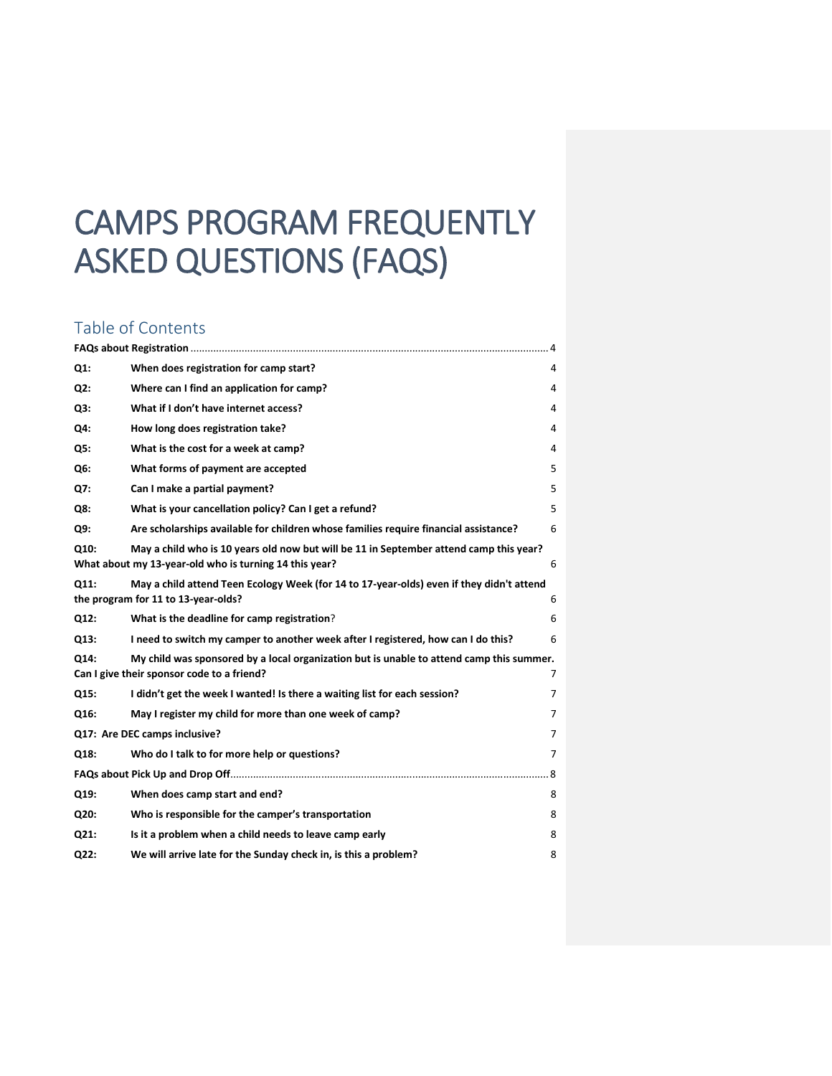# CAMPS PROGRAM FREQUENTLY ASKED QUESTIONS (FAQS)

# Table of Contents

| $Q1$ :                             | When does registration for camp start?                                                                                                           | 4 |  |  |
|------------------------------------|--------------------------------------------------------------------------------------------------------------------------------------------------|---|--|--|
| Q2:                                | Where can I find an application for camp?                                                                                                        | 4 |  |  |
| Q3:                                | What if I don't have internet access?                                                                                                            | 4 |  |  |
| Q4:                                | How long does registration take?                                                                                                                 | 4 |  |  |
| Q5:                                | What is the cost for a week at camp?                                                                                                             | 4 |  |  |
| Q <sub>6</sub> :                   | What forms of payment are accepted                                                                                                               | 5 |  |  |
| Q7:                                | Can I make a partial payment?                                                                                                                    | 5 |  |  |
| Q8:                                | What is your cancellation policy? Can I get a refund?                                                                                            | 5 |  |  |
| Q9:                                | Are scholarships available for children whose families require financial assistance?                                                             | 6 |  |  |
| Q10:                               | May a child who is 10 years old now but will be 11 in September attend camp this year?<br>What about my 13-year-old who is turning 14 this year? | 6 |  |  |
| Q11:                               | May a child attend Teen Ecology Week (for 14 to 17-year-olds) even if they didn't attend<br>the program for 11 to 13-year-olds?                  | 6 |  |  |
| Q12:                               | What is the deadline for camp registration?                                                                                                      | 6 |  |  |
| Q13:                               | I need to switch my camper to another week after I registered, how can I do this?                                                                | 6 |  |  |
| Q14:                               | My child was sponsored by a local organization but is unable to attend camp this summer.<br>Can I give their sponsor code to a friend?           | 7 |  |  |
| Q15:                               | I didn't get the week I wanted! Is there a waiting list for each session?                                                                        | 7 |  |  |
| Q16:                               | May I register my child for more than one week of camp?                                                                                          | 7 |  |  |
| Q17: Are DEC camps inclusive?<br>7 |                                                                                                                                                  |   |  |  |
| Q18:                               | Who do I talk to for more help or questions?                                                                                                     | 7 |  |  |
| 8                                  |                                                                                                                                                  |   |  |  |
| Q19:                               | When does camp start and end?                                                                                                                    | 8 |  |  |
| Q20:                               | Who is responsible for the camper's transportation                                                                                               | 8 |  |  |
| Q21:                               | Is it a problem when a child needs to leave camp early                                                                                           | 8 |  |  |
| Q22:                               | We will arrive late for the Sunday check in, is this a problem?                                                                                  | 8 |  |  |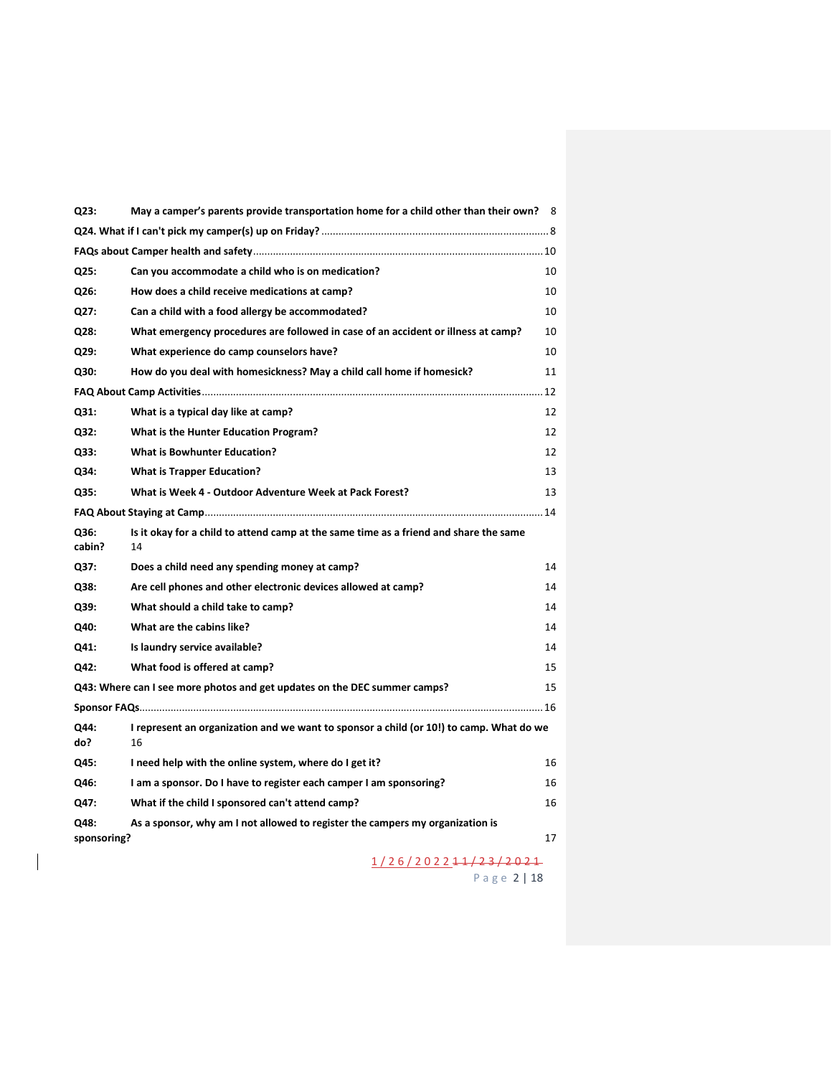| Q23:           | May a camper's parents provide transportation home for a child other than their own? 8        |    |  |  |
|----------------|-----------------------------------------------------------------------------------------------|----|--|--|
|                |                                                                                               |    |  |  |
|                |                                                                                               |    |  |  |
| Q25:           | Can you accommodate a child who is on medication?                                             | 10 |  |  |
| Q26:           | How does a child receive medications at camp?                                                 | 10 |  |  |
| Q27:           | Can a child with a food allergy be accommodated?                                              | 10 |  |  |
| Q28:           | What emergency procedures are followed in case of an accident or illness at camp?             | 10 |  |  |
| Q29:           | What experience do camp counselors have?                                                      | 10 |  |  |
| Q30:           | How do you deal with homesickness? May a child call home if homesick?                         | 11 |  |  |
|                |                                                                                               |    |  |  |
| Q31:           | What is a typical day like at camp?                                                           | 12 |  |  |
| Q32:           | What is the Hunter Education Program?                                                         | 12 |  |  |
| Q33:           | <b>What is Bowhunter Education?</b>                                                           | 12 |  |  |
| Q34:           | <b>What is Trapper Education?</b>                                                             | 13 |  |  |
| Q35:           | What is Week 4 - Outdoor Adventure Week at Pack Forest?                                       | 13 |  |  |
|                |                                                                                               |    |  |  |
| Q36:<br>cabin? | Is it okay for a child to attend camp at the same time as a friend and share the same<br>14   |    |  |  |
| Q37:           | Does a child need any spending money at camp?                                                 | 14 |  |  |
| Q38:           | Are cell phones and other electronic devices allowed at camp?                                 | 14 |  |  |
| Q39:           | What should a child take to camp?                                                             | 14 |  |  |
| Q40:           | What are the cabins like?                                                                     | 14 |  |  |
| Q41:           | Is laundry service available?                                                                 | 14 |  |  |
| Q42:           | What food is offered at camp?                                                                 | 15 |  |  |
|                | Q43: Where can I see more photos and get updates on the DEC summer camps?                     | 15 |  |  |
|                |                                                                                               |    |  |  |
| Q44:<br>do?    | I represent an organization and we want to sponsor a child (or 10!) to camp. What do we<br>16 |    |  |  |
| Q45:           | I need help with the online system, where do I get it?                                        | 16 |  |  |
| Q46:           | I am a sponsor. Do I have to register each camper I am sponsoring?                            | 16 |  |  |
| Q47:           | What if the child I sponsored can't attend camp?                                              | 16 |  |  |
| Q48:           | As a sponsor, why am I not allowed to register the campers my organization is                 |    |  |  |
| sponsoring?    |                                                                                               | 17 |  |  |
|                | 1/26/2022 <del>11/23/2021</del>                                                               |    |  |  |
|                | Page 2   18                                                                                   |    |  |  |

 $\overline{\phantom{a}}$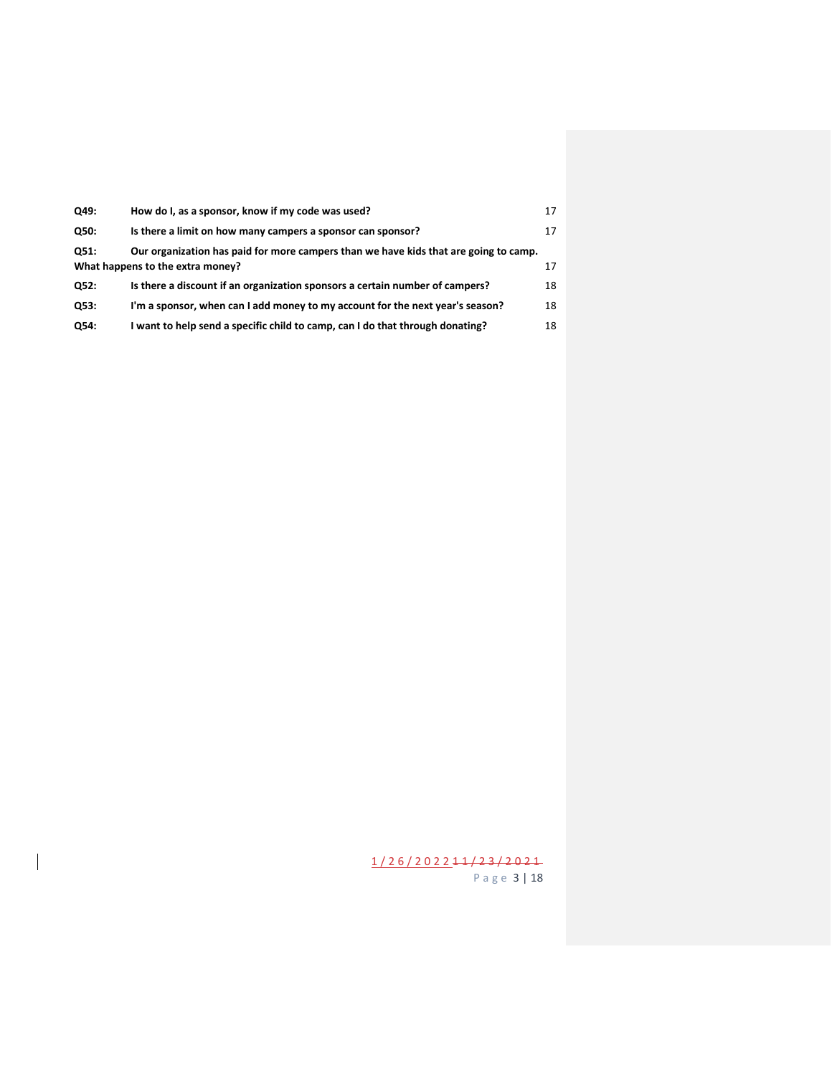| Q49: | How do I, as a sponsor, know if my code was used?                                                                              | 17 |  |
|------|--------------------------------------------------------------------------------------------------------------------------------|----|--|
| Q50: | Is there a limit on how many campers a sponsor can sponsor?                                                                    | 17 |  |
| Q51: | Our organization has paid for more campers than we have kids that are going to camp.<br>What happens to the extra money?<br>17 |    |  |
| Q52: | Is there a discount if an organization sponsors a certain number of campers?                                                   | 18 |  |
| Q53: | I'm a sponsor, when can I add money to my account for the next year's season?                                                  | 18 |  |
| Q54: | I want to help send a specific child to camp, can I do that through donating?                                                  | 18 |  |

 $\overline{\phantom{a}}$ 

1 / 2 6 / 2 0 2 2 1 1 / 2 3 / 2 0 2 1 P a g e 3 | 18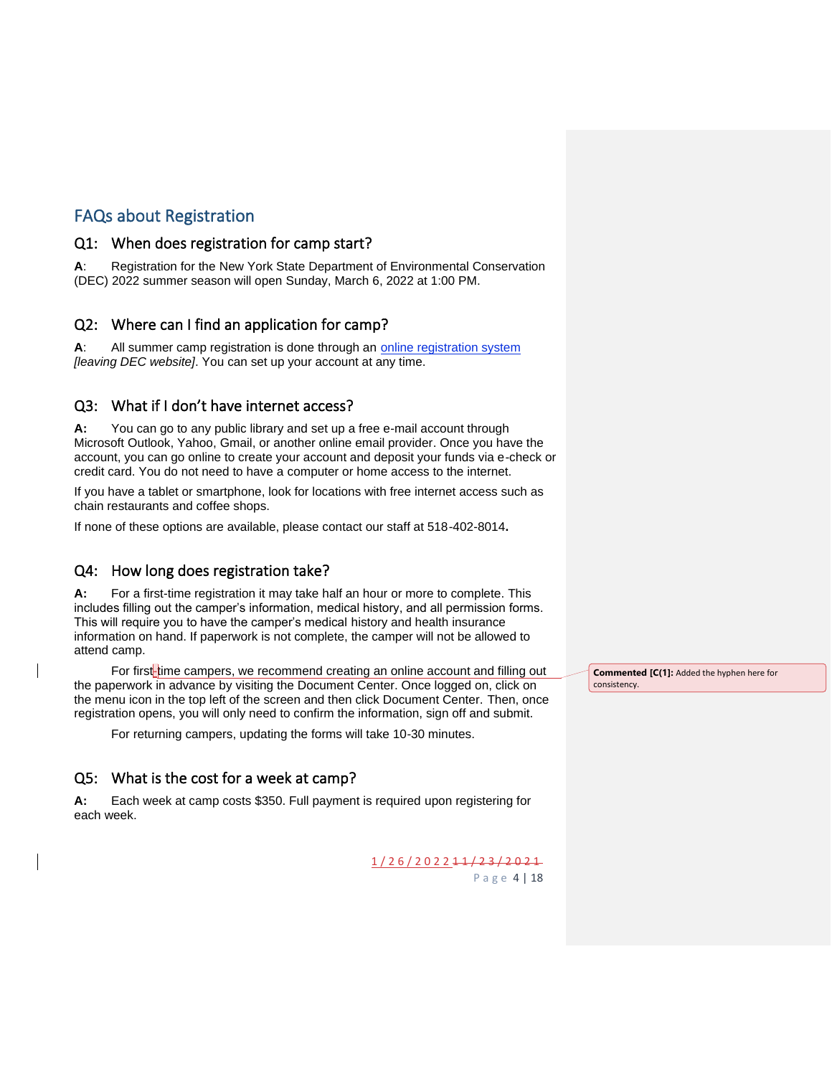# <span id="page-3-0"></span>FAQs about Registration

#### <span id="page-3-1"></span>Q1: When does registration for camp start?

**A**: Registration for the New York State Department of Environmental Conservation (DEC) 2022 summer season will open Sunday, March 6, 2022 at 1:00 PM.

#### <span id="page-3-2"></span>Q2: Where can I find an application for camp?

**A**: All summer camp registration is done through an [online registration system](https://www.ultracamp.com/clientlogin.aspx?idCamp=405&campCode=dec) *[leaving DEC website]*. You can set up your account at any time.

#### <span id="page-3-3"></span>Q3: What if I don't have internet access?

**A:** You can go to any public library and set up a free e-mail account through Microsoft Outlook, Yahoo, Gmail, or another online email provider. Once you have the account, you can go online to create your account and deposit your funds via e-check or credit card. You do not need to have a computer or home access to the internet.

If you have a tablet or smartphone, look for locations with free internet access such as chain restaurants and coffee shops.

If none of these options are available, please contact our staff at 518-402-8014**.**

#### <span id="page-3-4"></span>Q4: How long does registration take?

**A:** For a first-time registration it may take half an hour or more to complete. This includes filling out the camper's information, medical history, and all permission forms. This will require you to have the camper's medical history and health insurance information on hand. If paperwork is not complete, the camper will not be allowed to attend camp.

For first-time campers, we recommend creating an online account and filling out the paperwork in advance by visiting the Document Center. Once logged on, click on the menu icon in the top left of the screen and then click Document Center. Then, once registration opens, you will only need to confirm the information, sign off and submit.

For returning campers, updating the forms will take 10-30 minutes.

#### <span id="page-3-5"></span>Q5: What is the cost for a week at camp?

**A:** Each week at camp costs \$350. Full payment is required upon registering for each week.

> 1 / 2 6 / 2 0 2 2 1 1 / 2 3 / 2 0 2 1 P a g e 4 | 18

**Commented [C(1]:** Added the hyphen here for consistency.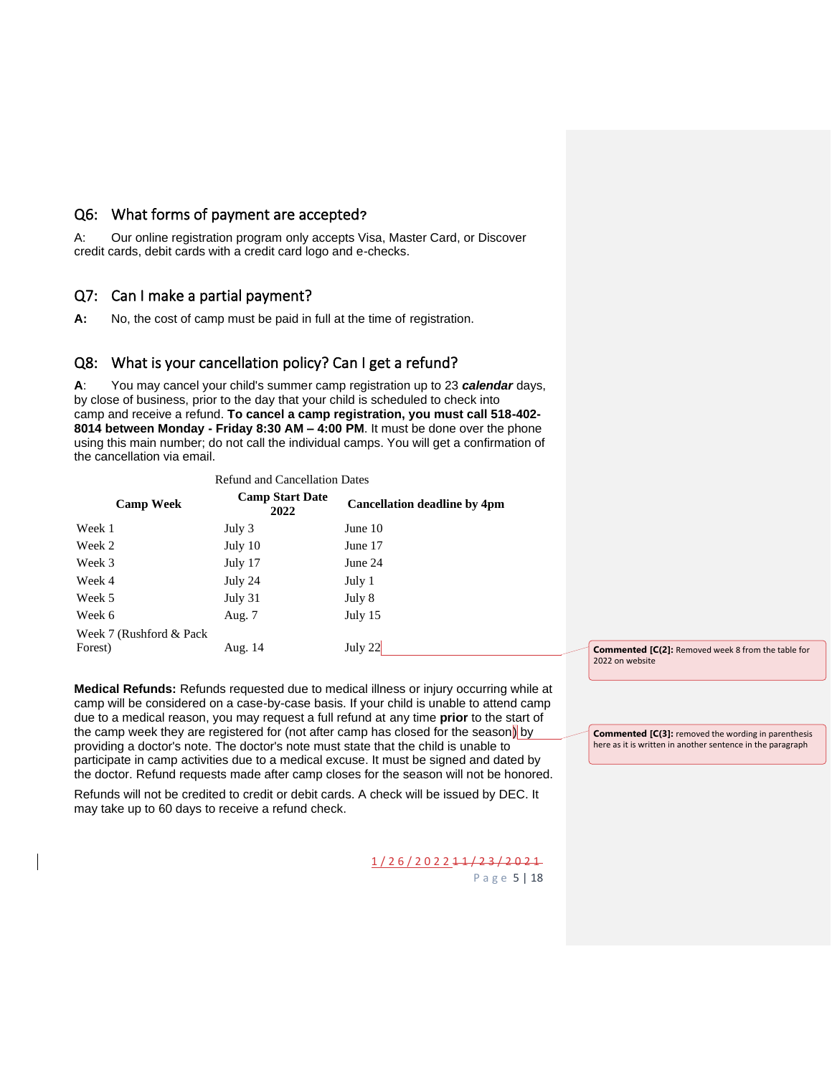#### <span id="page-4-0"></span>Q6: What forms of payment are accepted**?**

A: Our online registration program only accepts Visa, Master Card, or Discover credit cards, debit cards with a credit card logo and e-checks.

#### <span id="page-4-1"></span>Q7: Can I make a partial payment?

**A:** No, the cost of camp must be paid in full at the time of registration.

#### <span id="page-4-2"></span>Q8: What is your cancellation policy? Can I get a refund?

**A**: You may cancel your child's summer camp registration up to 23 *calendar* days, by close of business, prior to the day that your child is scheduled to check into camp and receive a refund. **To cancel a camp registration, you must call 518-402- 8014 between Monday - Friday 8:30 AM – 4:00 PM**. It must be done over the phone using this main number; do not call the individual camps. You will get a confirmation of the cancellation via email.

| <b>Refund and Cancellation Dates</b> |                                |                                     |  |  |  |  |
|--------------------------------------|--------------------------------|-------------------------------------|--|--|--|--|
| <b>Camp Week</b>                     | <b>Camp Start Date</b><br>2022 | <b>Cancellation deadline by 4pm</b> |  |  |  |  |
| Week 1                               | July 3                         | June 10                             |  |  |  |  |
| Week 2                               | July 10                        | June 17                             |  |  |  |  |
| Week 3                               | July 17                        | June 24                             |  |  |  |  |
| Week 4                               | July 24                        | July 1                              |  |  |  |  |
| Week 5                               | July 31                        | July 8                              |  |  |  |  |
| Week 6                               | Aug. 7                         | July 15                             |  |  |  |  |
| Week 7 (Rushford & Pack)<br>Forest)  | Aug. 14                        | July 22                             |  |  |  |  |
|                                      |                                |                                     |  |  |  |  |

**Medical Refunds:** Refunds requested due to medical illness or injury occurring while at camp will be considered on a case-by-case basis. If your child is unable to attend camp due to a medical reason, you may request a full refund at any time **prior** to the start of the camp week they are registered for (not after camp has closed for the season) by providing a doctor's note. The doctor's note must state that the child is unable to participate in camp activities due to a medical excuse. It must be signed and dated by the doctor. Refund requests made after camp closes for the season will not be honored.

Refunds will not be credited to credit or debit cards. A check will be issued by DEC. It may take up to 60 days to receive a refund check.

> 1 / 2 6 / 2 0 2 2 1 1 / 2 3 / 2 0 2 1 P a g e 5 | 18

**Commented [C(2]:** Removed week 8 from the table for 2022 on website

**Commented [C(3]:** removed the wording in parenthesis here as it is written in another sentence in the paragraph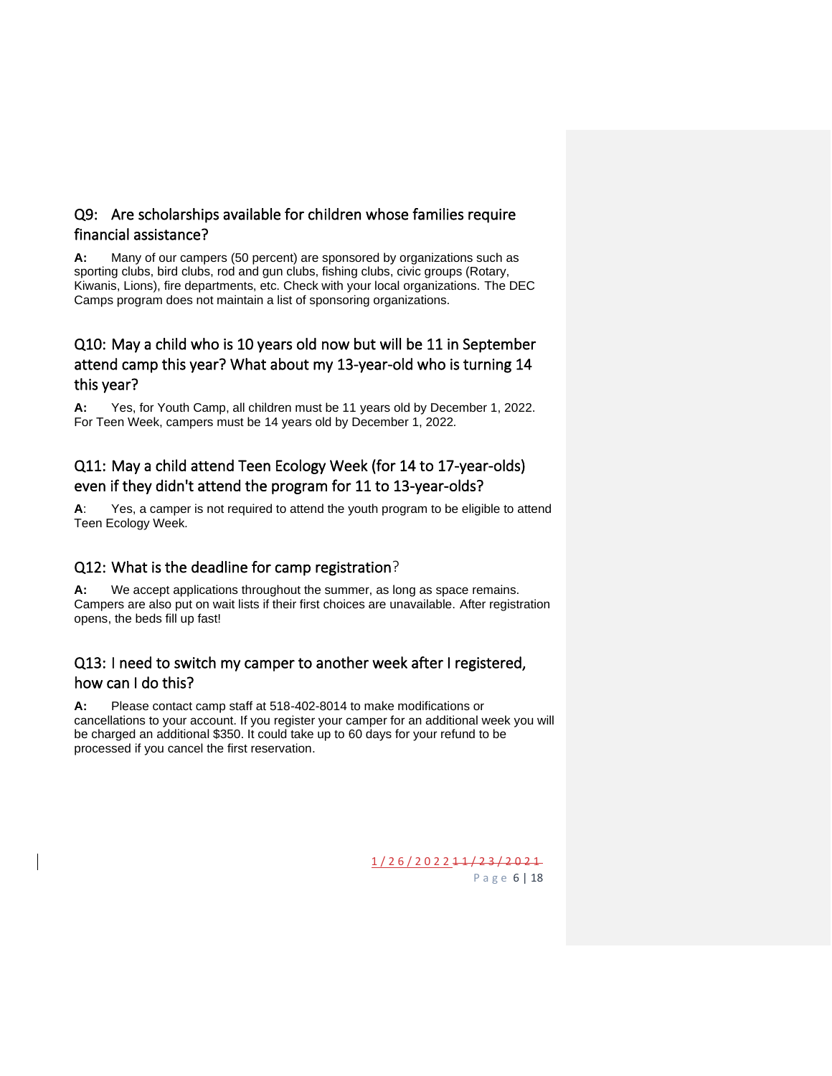## <span id="page-5-0"></span>Q9: Are scholarships available for children whose families require financial assistance?

**A:** Many of our campers (50 percent) are sponsored by organizations such as sporting clubs, bird clubs, rod and gun clubs, fishing clubs, civic groups (Rotary, Kiwanis, Lions), fire departments, etc. Check with your local organizations. The DEC Camps program does not maintain a list of sponsoring organizations.

## <span id="page-5-1"></span>Q10: May a child who is 10 years old now but will be 11 in September attend camp this year? What about my 13-year-old who is turning 14 this year?

**A:** Yes, for Youth Camp, all children must be 11 years old by December 1, 2022. For Teen Week, campers must be 14 years old by December 1, 2022*.*

# <span id="page-5-2"></span>Q11: May a child attend Teen Ecology Week (for 14 to 17-year-olds) even if they didn't attend the program for 11 to 13-year-olds?

**A**: Yes, a camper is not required to attend the youth program to be eligible to attend Teen Ecology Week*.*

## <span id="page-5-3"></span>Q12: What is the deadline for camp registration?

**A:** We accept applications throughout the summer, as long as space remains. Campers are also put on wait lists if their first choices are unavailable. After registration opens, the beds fill up fast!

## <span id="page-5-4"></span>Q13: I need to switch my camper to another week after I registered, how can I do this?

**A:** Please contact camp staff at 518-402-8014 to make modifications or cancellations to your account. If you register your camper for an additional week you will be charged an additional \$350. It could take up to 60 days for your refund to be processed if you cancel the first reservation.

> 1 / 2 6 / 2 0 2 2 1 1 / 2 3 / 2 0 2 1 P a g e 6 | 18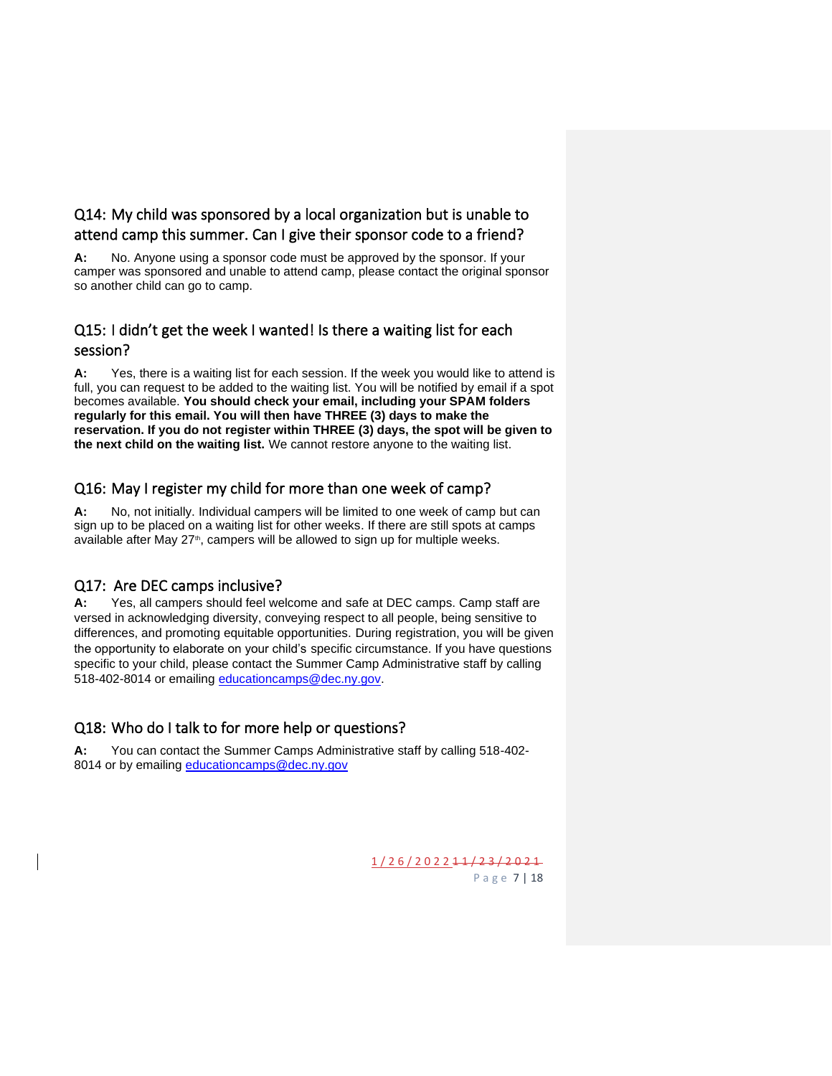## <span id="page-6-0"></span>Q14: My child was sponsored by a local organization but is unable to attend camp this summer. Can I give their sponsor code to a friend?

**A:** No. Anyone using a sponsor code must be approved by the sponsor. If your camper was sponsored and unable to attend camp, please contact the original sponsor so another child can go to camp.

## <span id="page-6-1"></span>Q15: I didn't get the week I wanted! Is there a waiting list for each session?

**A:** Yes, there is a waiting list for each session. If the week you would like to attend is full, you can request to be added to the waiting list. You will be notified by email if a spot becomes available. **You should check your email, including your SPAM folders regularly for this email. You will then have THREE (3) days to make the reservation. If you do not register within THREE (3) days, the spot will be given to the next child on the waiting list.** We cannot restore anyone to the waiting list.

#### <span id="page-6-2"></span>Q16: May I register my child for more than one week of camp?

**A:** No, not initially. Individual campers will be limited to one week of camp but can sign up to be placed on a waiting list for other weeks. If there are still spots at camps available after May  $27<sup>th</sup>$ , campers will be allowed to sign up for multiple weeks.

#### <span id="page-6-3"></span>Q17: Are DEC camps inclusive?

**A:** Yes, all campers should feel welcome and safe at DEC camps. Camp staff are versed in acknowledging diversity, conveying respect to all people, being sensitive to differences, and promoting equitable opportunities. During registration, you will be given the opportunity to elaborate on your child's specific circumstance. If you have questions specific to your child, please contact the Summer Camp Administrative staff by calling 518-402-8014 or emailing [educationcamps@dec.ny.gov.](mailto:educationcamps@dec.ny.gov)

## <span id="page-6-4"></span>Q18: Who do I talk to for more help or questions?

**A:** You can contact the Summer Camps Administrative staff by calling 518-402- 8014 or by emailing [educationcamps@dec.ny.gov](mailto:educationcamps@dec.ny.gov)

> 1 / 2 6 / 2 0 2 2 1 1 / 2 3 / 2 0 2 1 P a g e 7 | 18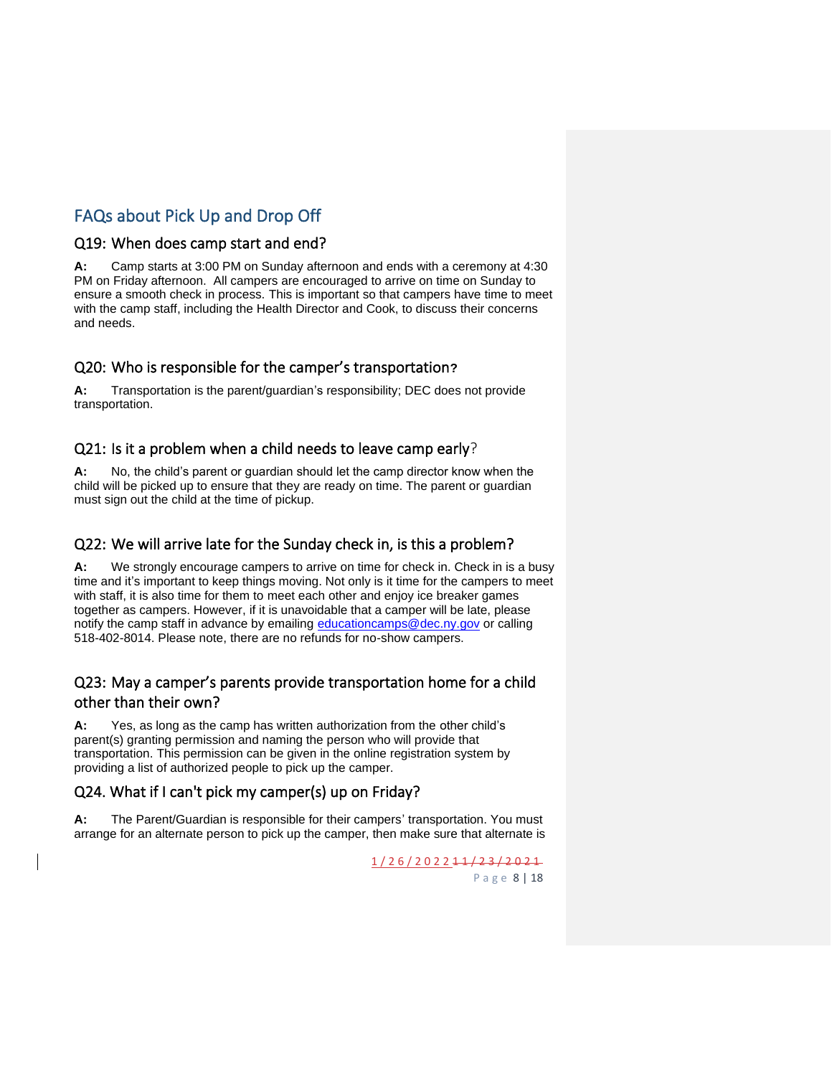# <span id="page-7-0"></span>FAQs about Pick Up and Drop Off

#### <span id="page-7-1"></span>Q19: When does camp start and end?

**A:** Camp starts at 3:00 PM on Sunday afternoon and ends with a ceremony at 4:30 PM on Friday afternoon. All campers are encouraged to arrive on time on Sunday to ensure a smooth check in process. This is important so that campers have time to meet with the camp staff, including the Health Director and Cook, to discuss their concerns and needs.

#### <span id="page-7-2"></span>Q20: Who is responsible for the camper's transportation**?**

**A:** Transportation is the parent/guardian's responsibility; DEC does not provide transportation.

#### <span id="page-7-3"></span>Q21: Is it a problem when a child needs to leave camp early?

**A:** No, the child's parent or guardian should let the camp director know when the child will be picked up to ensure that they are ready on time. The parent or guardian must sign out the child at the time of pickup.

#### <span id="page-7-4"></span>Q22: We will arrive late for the Sunday check in, is this a problem?

**A:** We strongly encourage campers to arrive on time for check in. Check in is a busy time and it's important to keep things moving. Not only is it time for the campers to meet with staff, it is also time for them to meet each other and enjoy ice breaker games together as campers. However, if it is unavoidable that a camper will be late, please notify the camp staff in advance by emailing [educationcamps@dec.ny.gov](mailto:educationcamps@dec.ny.gov) or calling 518-402-8014. Please note, there are no refunds for no-show campers.

## <span id="page-7-5"></span>Q23: May a camper's parents provide transportation home for a child other than their own?

**A:** Yes, as long as the camp has written authorization from the other child's parent(s) granting permission and naming the person who will provide that transportation. This permission can be given in the online registration system by providing a list of authorized people to pick up the camper.

#### <span id="page-7-6"></span>Q24. What if I can't pick my camper(s) up on Friday?

**A:** The Parent/Guardian is responsible for their campers' transportation. You must arrange for an alternate person to pick up the camper, then make sure that alternate is

> 1 / 2 6 / 2 0 2 2 1 1 / 2 3 / 2 0 2 1 P a g e 8 | 18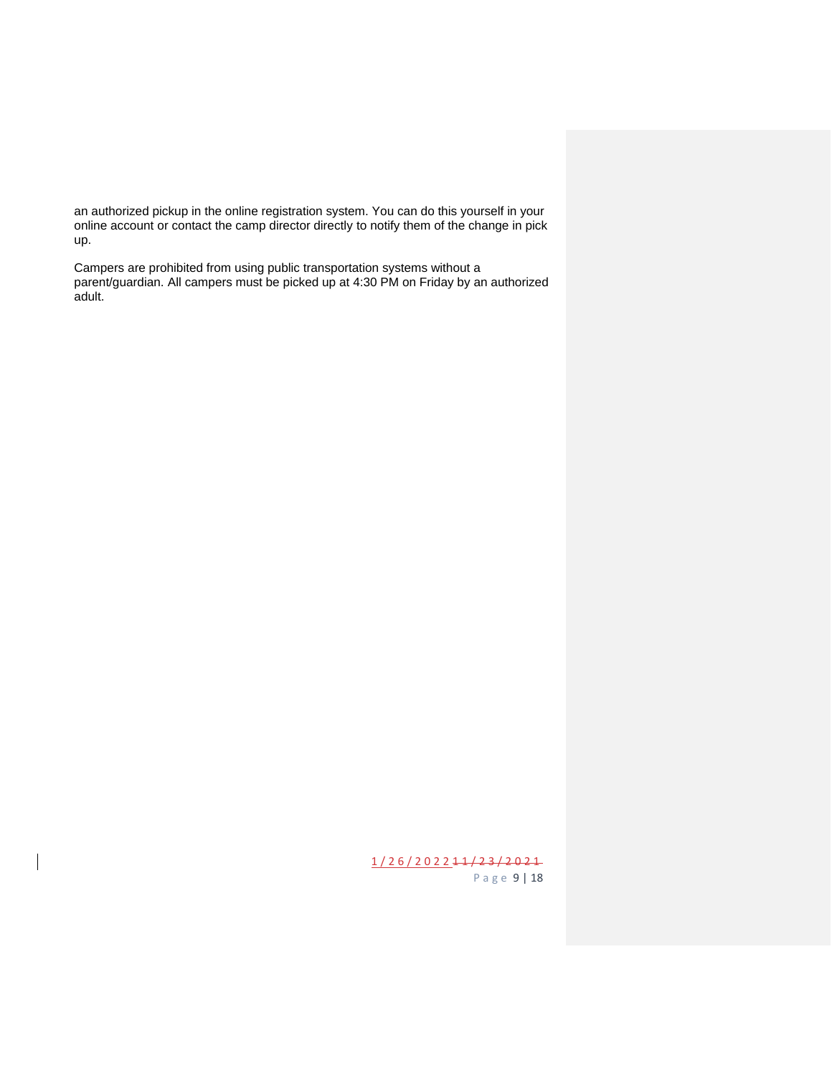an authorized pickup in the online registration system. You can do this yourself in your online account or contact the camp director directly to notify them of the change in pick up.

Campers are prohibited from using public transportation systems without a parent/guardian. All campers must be picked up at 4:30 PM on Friday by an authorized adult.

> 1 / 2 6 / 2 0 2 2 1 1 / 2 3 / 2 0 2 1 P a g e 9 | 18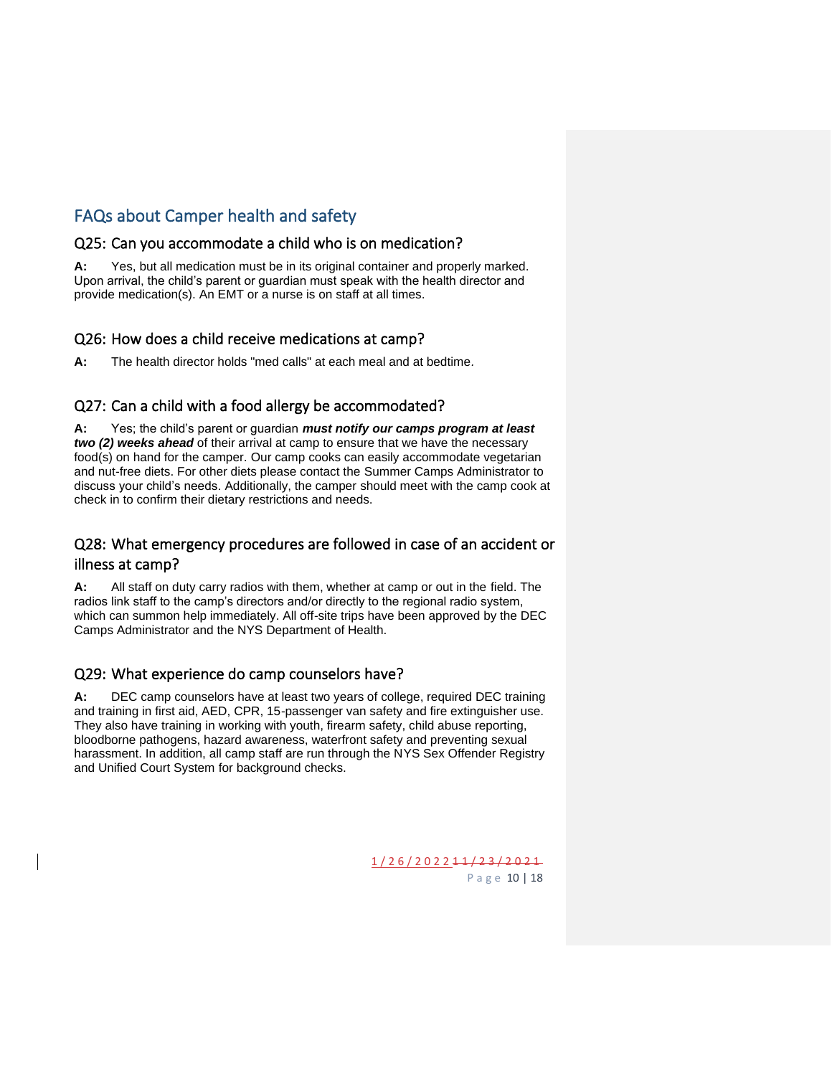# <span id="page-9-0"></span>FAQs about Camper health and safety

#### <span id="page-9-1"></span>Q25: Can you accommodate a child who is on medication?

**A:** Yes, but all medication must be in its original container and properly marked. Upon arrival, the child's parent or guardian must speak with the health director and provide medication(s). An EMT or a nurse is on staff at all times.

#### <span id="page-9-2"></span>Q26: How does a child receive medications at camp?

**A:** The health director holds "med calls" at each meal and at bedtime*.*

#### <span id="page-9-3"></span>Q27: Can a child with a food allergy be accommodated?

**A:** Yes; the child's parent or guardian *must notify our camps program at least two (2) weeks ahead* of their arrival at camp to ensure that we have the necessary food(s) on hand for the camper. Our camp cooks can easily accommodate vegetarian and nut-free diets. For other diets please contact the Summer Camps Administrator to discuss your child's needs. Additionally, the camper should meet with the camp cook at check in to confirm their dietary restrictions and needs.

## <span id="page-9-4"></span>Q28: What emergency procedures are followed in case of an accident or illness at camp?

**A:** All staff on duty carry radios with them, whether at camp or out in the field. The radios link staff to the camp's directors and/or directly to the regional radio system, which can summon help immediately. All off-site trips have been approved by the DEC Camps Administrator and the NYS Department of Health.

#### <span id="page-9-5"></span>Q29: What experience do camp counselors have?

**A:** DEC camp counselors have at least two years of college, required DEC training and training in first aid, AED, CPR, 15-passenger van safety and fire extinguisher use. They also have training in working with youth, firearm safety, child abuse reporting, bloodborne pathogens, hazard awareness, waterfront safety and preventing sexual harassment. In addition, all camp staff are run through the NYS Sex Offender Registry and Unified Court System for background checks.

> 1 / 2 6 / 2 0 2 2 1 1 / 2 3 / 2 0 2 1 P a g e 10 | 18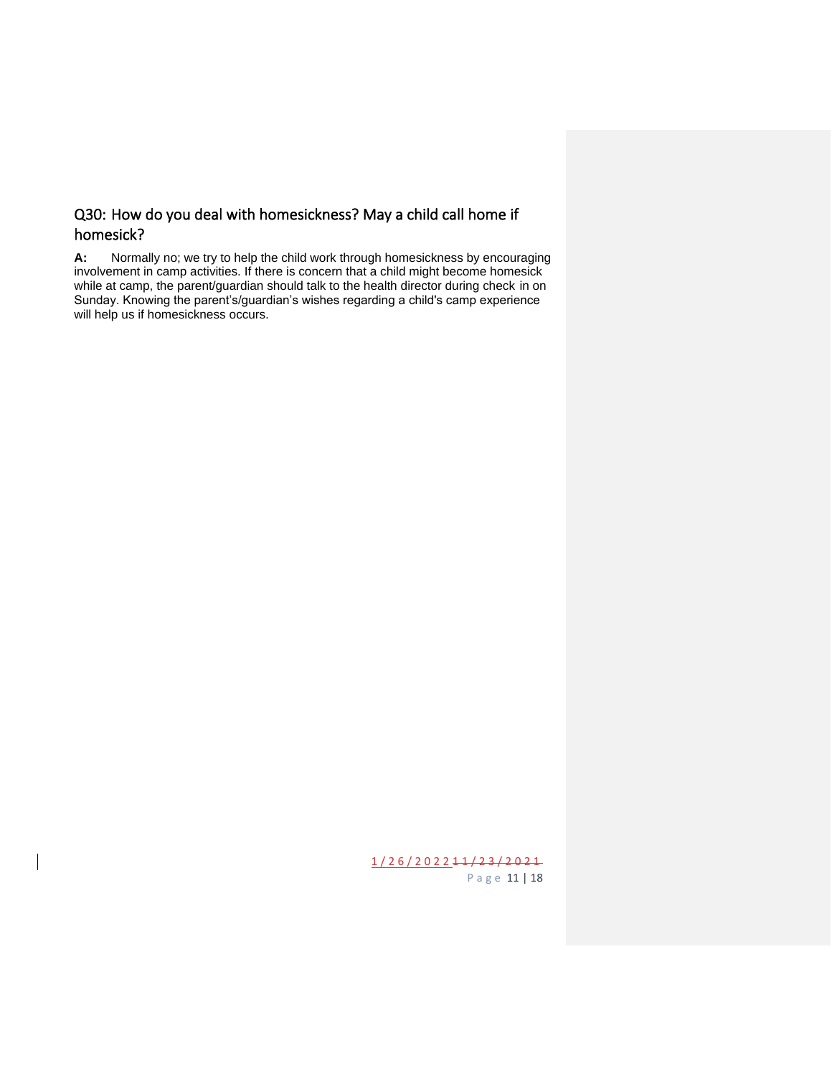## <span id="page-10-0"></span>Q30: How do you deal with homesickness? May a child call home if homesick?

**A:** Normally no; we try to help the child work through homesickness by encouraging involvement in camp activities. If there is concern that a child might become homesick while at camp, the parent/guardian should talk to the health director during check in on Sunday. Knowing the parent's/guardian's wishes regarding a child's camp experience will help us if homesickness occurs*.*

> 1 / 2 6 / 2 0 2 2 1 1 / 2 3 / 2 0 2 1 P a g e 11 | 18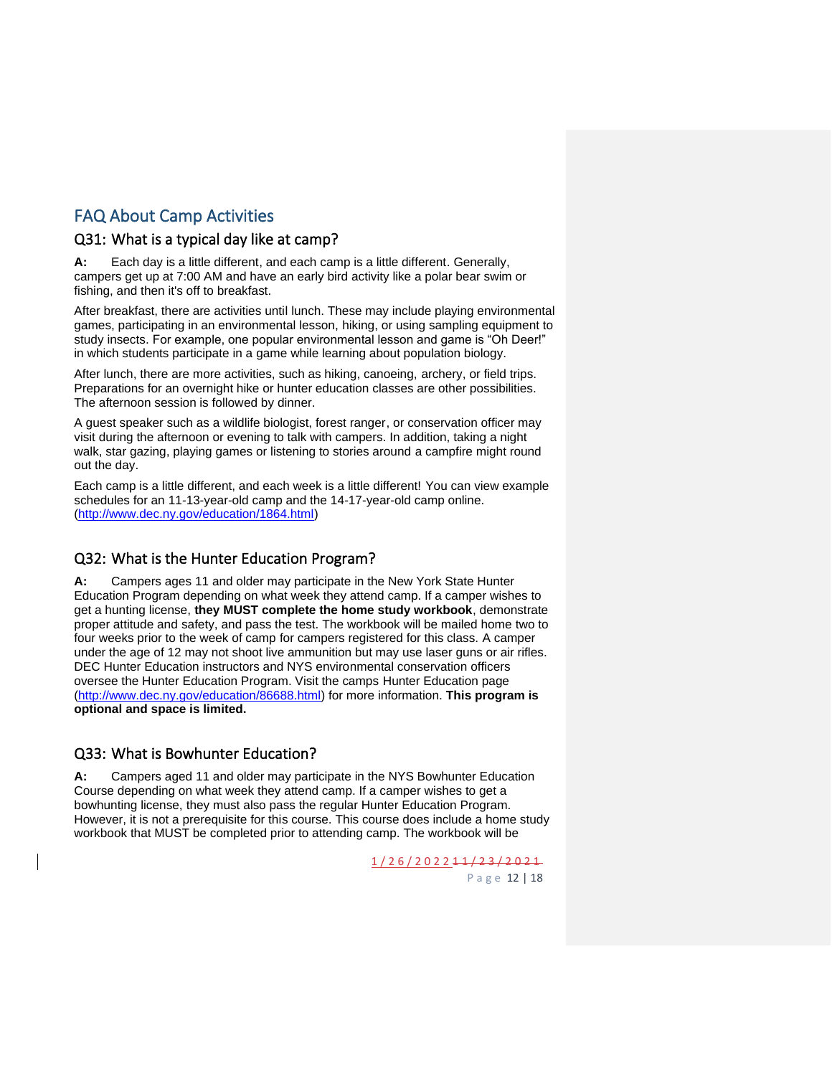# <span id="page-11-0"></span>FAQ About Camp Activities

#### <span id="page-11-1"></span>Q31: What is a typical day like at camp?

**A:** Each day is a little different, and each camp is a little different. Generally, campers get up at 7:00 AM and have an early bird activity like a polar bear swim or fishing, and then it's off to breakfast.

After breakfast, there are activities until lunch. These may include playing environmental games, participating in an environmental lesson, hiking, or using sampling equipment to study insects. For example, one popular environmental lesson and game is "Oh Deer!" in which students participate in a game while learning about population biology.

After lunch, there are more activities, such as hiking, canoeing, archery, or field trips. Preparations for an overnight hike or hunter education classes are other possibilities. The afternoon session is followed by dinner.

A guest speaker such as a wildlife biologist, forest ranger, or conservation officer may visit during the afternoon or evening to talk with campers. In addition, taking a night walk, star gazing, playing games or listening to stories around a campfire might round out the day.

Each camp is a little different, and each week is a little different! You can view example schedules for an 11-13-year-old camp and the 14-17-year-old camp online. [\(http://www.dec.ny.gov/education/1864.html\)](http://www.dec.ny.gov/education/1864.html)

#### <span id="page-11-2"></span>Q32: What is the Hunter Education Program?

**A:** Campers ages 11 and older may participate in the New York State Hunter Education Program depending on what week they attend camp. If a camper wishes to get a hunting license, **they MUST complete the home study workbook**, demonstrate proper attitude and safety, and pass the test. The workbook will be mailed home two to four weeks prior to the week of camp for campers registered for this class. A camper under the age of 12 may not shoot live ammunition but may use laser guns or air rifles. DEC Hunter Education instructors and NYS environmental conservation officers oversee the Hunter Education Program. Visit the camps Hunter Education page [\(http://www.dec.ny.gov/education/86688.html\)](http://www.dec.ny.gov/education/86688.html) for more information. **This program is optional and space is limited.**

#### <span id="page-11-3"></span>Q33: What is Bowhunter Education?

**A:** Campers aged 11 and older may participate in the NYS Bowhunter Education Course depending on what week they attend camp. If a camper wishes to get a bowhunting license, they must also pass the regular Hunter Education Program. However, it is not a prerequisite for this course. This course does include a home study workbook that MUST be completed prior to attending camp. The workbook will be

> 1 / 2 6 / 2 0 2 2 1 1 / 2 3 / 2 0 2 1 P a g e 12 | 18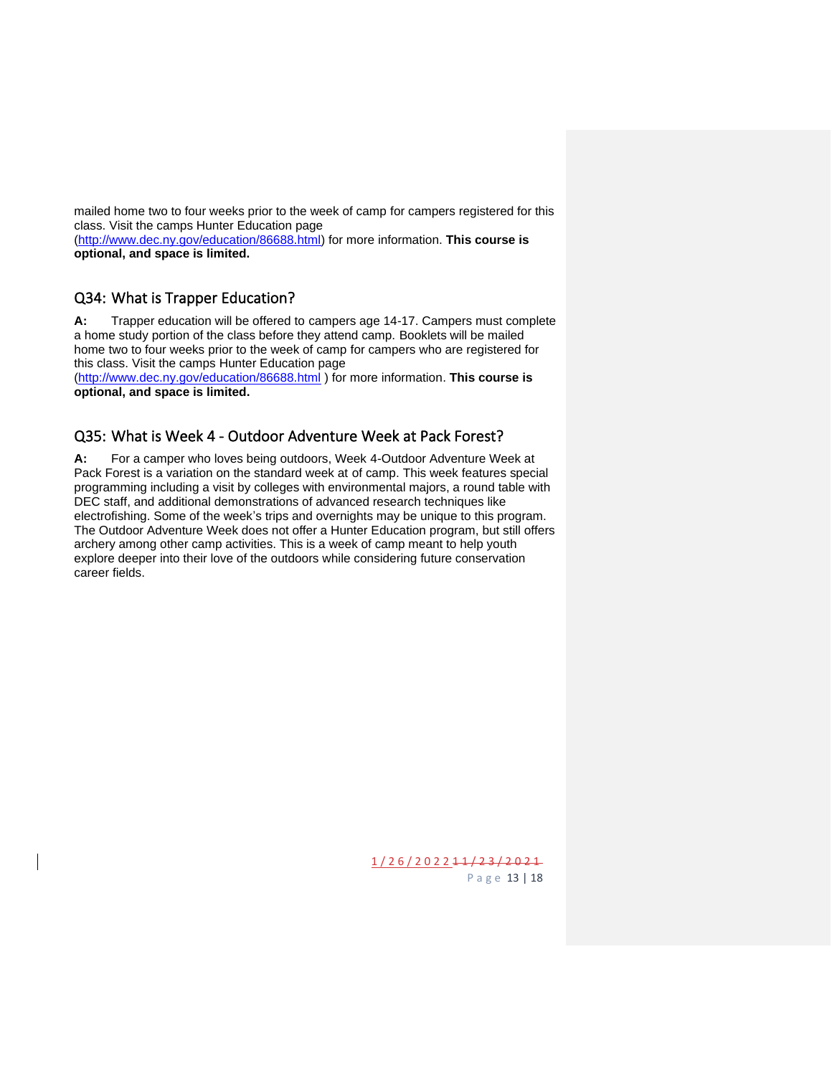mailed home two to four weeks prior to the week of camp for campers registered for this class. Visit the camps Hunter Education page

[\(http://www.dec.ny.gov/education/86688.html\)](http://www.dec.ny.gov/education/86688.html) for more information. **This course is optional, and space is limited.**

#### <span id="page-12-0"></span>Q34: What is Trapper Education?

**A:** Trapper education will be offered to campers age 14-17. Campers must complete a home study portion of the class before they attend camp. Booklets will be mailed home two to four weeks prior to the week of camp for campers who are registered for this class. Visit the camps Hunter Education page

[\(http://www.dec.ny.gov/education/86688.html](http://www.dec.ny.gov/education/86688.html) ) for more information. **This course is optional, and space is limited.**

#### <span id="page-12-1"></span>Q35: What is Week 4 - Outdoor Adventure Week at Pack Forest?

**A:** For a camper who loves being outdoors, Week 4-Outdoor Adventure Week at Pack Forest is a variation on the standard week at of camp. This week features special programming including a visit by colleges with environmental majors, a round table with DEC staff, and additional demonstrations of advanced research techniques like electrofishing. Some of the week's trips and overnights may be unique to this program. The Outdoor Adventure Week does not offer a Hunter Education program, but still offers archery among other camp activities. This is a week of camp meant to help youth explore deeper into their love of the outdoors while considering future conservation career fields.

> 1 / 2 6 / 2 0 2 2 1 1 / 2 3 / 2 0 2 1 P a g e 13 | 18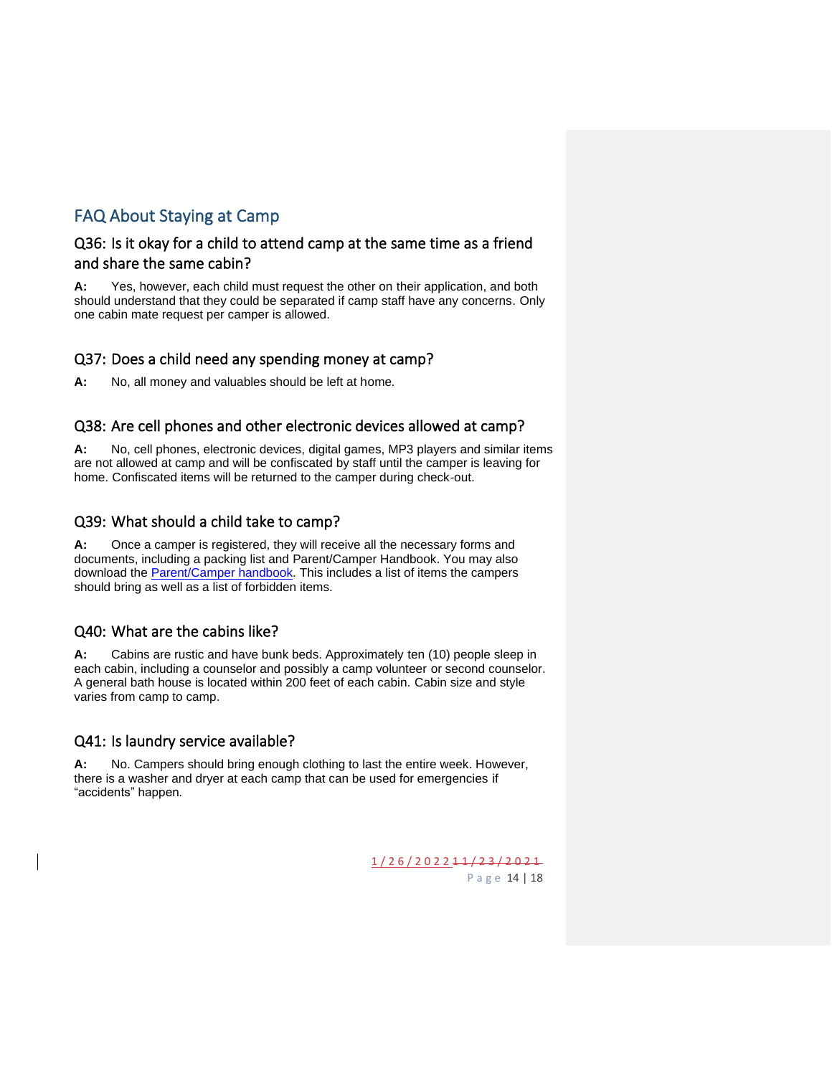# <span id="page-13-0"></span>FAQ About Staying at Camp

#### <span id="page-13-1"></span>Q36: Is it okay for a child to attend camp at the same time as a friend and share the same cabin?

**A:** Yes, however, each child must request the other on their application, and both should understand that they could be separated if camp staff have any concerns*.* Only one cabin mate request per camper is allowed.

#### <span id="page-13-2"></span>Q37: Does a child need any spending money at camp?

**A:** No, all money and valuables should be left at home*.*

#### <span id="page-13-3"></span>Q38: Are cell phones and other electronic devices allowed at camp?

**A:** No, cell phones, electronic devices, digital games, MP3 players and similar items are not allowed at camp and will be confiscated by staff until the camper is leaving for home. Confiscated items will be returned to the camper during check-out.

#### <span id="page-13-4"></span>Q39: What should a child take to camp?

**A:** Once a camper is registered, they will receive all the necessary forms and documents, including a packing list and Parent/Camper Handbook. You may also download the [Parent/Camper](http://www.dec.ny.gov/education/1864.html) handbook. This includes a list of items the campers should bring as well as a list of forbidden items.

#### <span id="page-13-5"></span>Q40: What are the cabins like?

**A:** Cabins are rustic and have bunk beds. Approximately ten (10) people sleep in each cabin, including a counselor and possibly a camp volunteer or second counselor. A general bath house is located within 200 feet of each cabin. Cabin size and style varies from camp to camp.

#### <span id="page-13-6"></span>Q41: Is laundry service available?

**A:** No. Campers should bring enough clothing to last the entire week. However, there is a washer and dryer at each camp that can be used for emergencies if "accidents" happen*.*

> 1 / 2 6 / 2 0 2 2 1 1 / 2 3 / 2 0 2 1 P a g e 14 | 18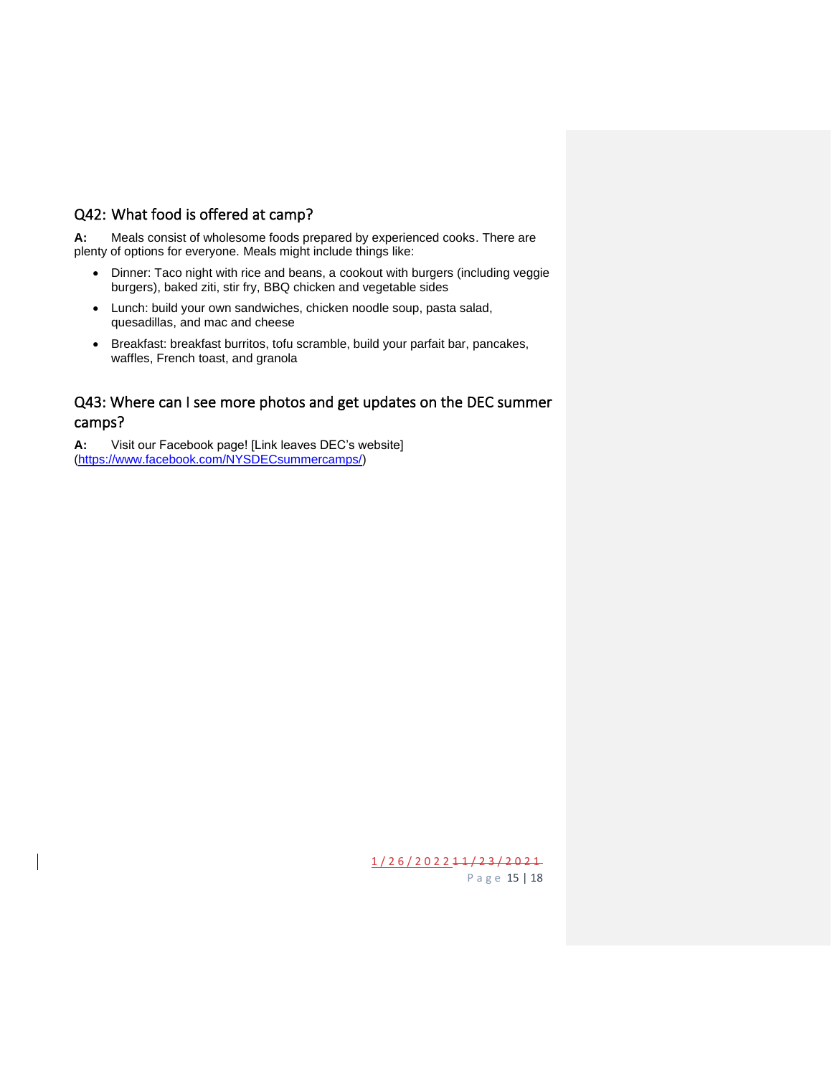## <span id="page-14-0"></span>Q42: What food is offered at camp?

**A:** Meals consist of wholesome foods prepared by experienced cooks. There are plenty of options for everyone. Meals might include things like:

- Dinner: Taco night with rice and beans, a cookout with burgers (including veggie burgers), baked ziti, stir fry, BBQ chicken and vegetable sides
- Lunch: build your own sandwiches, chicken noodle soup, pasta salad, quesadillas, and mac and cheese
- Breakfast: breakfast burritos, tofu scramble, build your parfait bar, pancakes, waffles, French toast, and granola

#### <span id="page-14-1"></span>Q43: Where can I see more photos and get updates on the DEC summer camps?

**A:** Visit our Facebook page! [Link leaves DEC's website] [\(https://www.facebook.com/NYSDECsummercamps/\)](https://www.facebook.com/NYSDECsummercamps/)

> 1 / 2 6 / 2 0 2 2 1 1 / 2 3 / 2 0 2 1 P a g e 15 | 18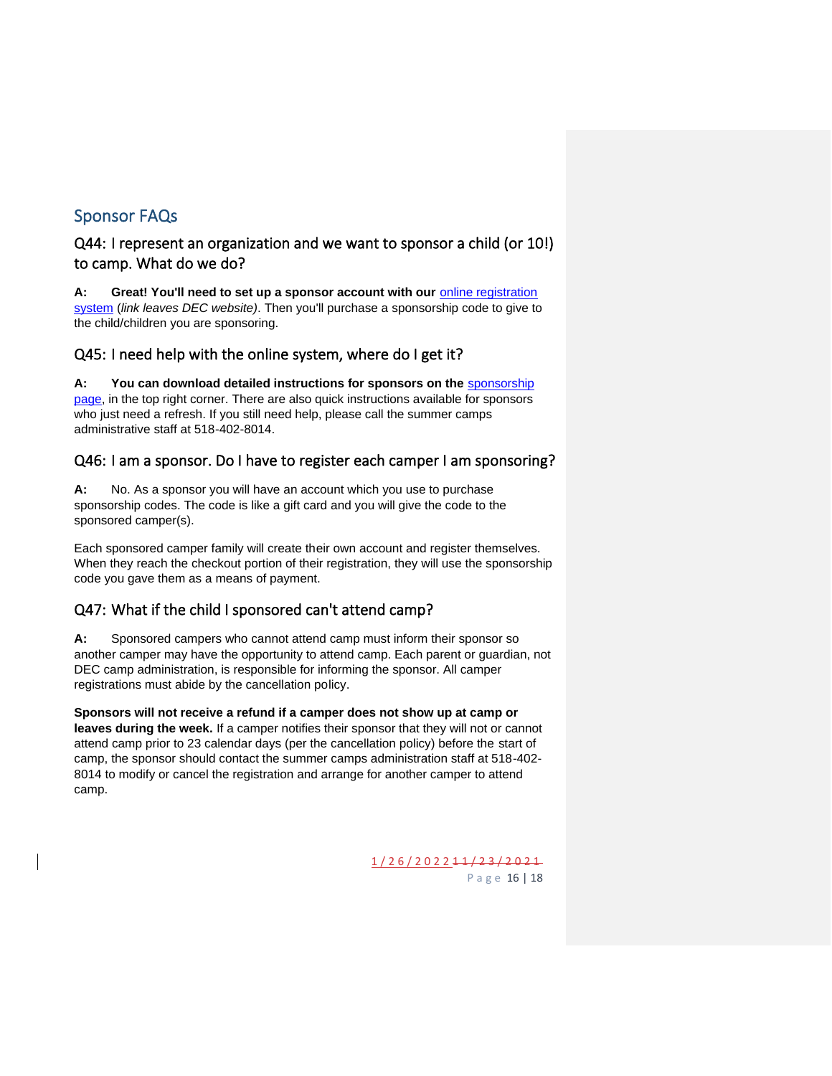# <span id="page-15-0"></span>Sponsor FAQs

#### <span id="page-15-1"></span>Q44: I represent an organization and we want to sponsor a child (or 10!) to camp. What do we do?

A: Great! You'll need to set up a sponsor account with our **online registration** [system](https://www.ultracamp.com/clientlogin.aspx?idCamp=405&campCode=dec) (*link leaves DEC website)*. Then you'll purchase a sponsorship code to give to the child/children you are sponsoring.

#### <span id="page-15-2"></span>Q45: I need help with the online system, where do I get it?

**A: You can download detailed instructions for sponsors on the** [sponsorship](https://www.dec.ny.gov/education/1866.html)  [page,](https://www.dec.ny.gov/education/1866.html) in the top right corner. There are also quick instructions available for sponsors who just need a refresh. If you still need help, please call the summer camps administrative staff at 518-402-8014.

#### <span id="page-15-3"></span>Q46: I am a sponsor. Do I have to register each camper I am sponsoring?

**A:** No. As a sponsor you will have an account which you use to purchase sponsorship codes. The code is like a gift card and you will give the code to the sponsored camper(s).

Each sponsored camper family will create their own account and register themselves. When they reach the checkout portion of their registration, they will use the sponsorship code you gave them as a means of payment.

## <span id="page-15-4"></span>Q47: What if the child I sponsored can't attend camp?

**A:** Sponsored campers who cannot attend camp must inform their sponsor so another camper may have the opportunity to attend camp. Each parent or guardian, not DEC camp administration, is responsible for informing the sponsor. All camper registrations must abide by the cancellation policy.

**Sponsors will not receive a refund if a camper does not show up at camp or leaves during the week.** If a camper notifies their sponsor that they will not or cannot attend camp prior to 23 calendar days (per the cancellation policy) before the start of camp, the sponsor should contact the summer camps administration staff at 518-402- 8014 to modify or cancel the registration and arrange for another camper to attend camp.

> 1 / 2 6 / 2 0 2 2 1 1 / 2 3 / 2 0 2 1 P a g e 16 | 18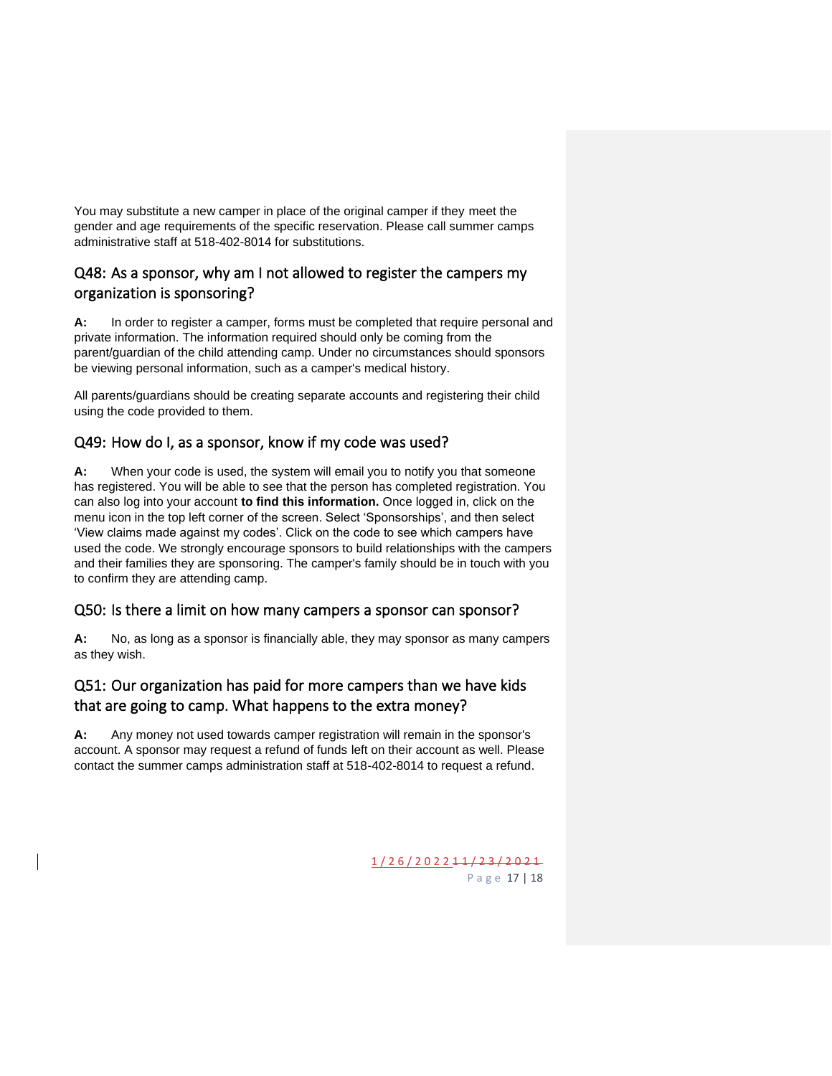You may substitute a new camper in place of the original camper if they meet the gender and age requirements of the specific reservation. Please call summer camps administrative staff at 518-402-8014 for substitutions.

## <span id="page-16-0"></span>Q48: As a sponsor, why am I not allowed to register the campers my organization is sponsoring?

**A:** In order to register a camper, forms must be completed that require personal and private information. The information required should only be coming from the parent/guardian of the child attending camp. Under no circumstances should sponsors be viewing personal information, such as a camper's medical history.

All parents/guardians should be creating separate accounts and registering their child using the code provided to them.

## <span id="page-16-1"></span>Q49: How do I, as a sponsor, know if my code was used?

**A:** When your code is used, the system will email you to notify you that someone has registered. You will be able to see that the person has completed registration. You can also log into your account **to find this information.** Once logged in, click on the menu icon in the top left corner of the screen. Select 'Sponsorships', and then select 'View claims made against my codes'. Click on the code to see which campers have used the code. We strongly encourage sponsors to build relationships with the campers and their families they are sponsoring. The camper's family should be in touch with you to confirm they are attending camp.

#### <span id="page-16-2"></span>Q50: Is there a limit on how many campers a sponsor can sponsor?

**A:** No, as long as a sponsor is financially able, they may sponsor as many campers as they wish.

## <span id="page-16-3"></span>Q51: Our organization has paid for more campers than we have kids that are going to camp. What happens to the extra money?

**A:** Any money not used towards camper registration will remain in the sponsor's account. A sponsor may request a refund of funds left on their account as well. Please contact the summer camps administration staff at 518-402-8014 to request a refund.

> 1 / 2 6 / 2 0 2 2 1 1 / 2 3 / 2 0 2 1 P a g e 17 | 18